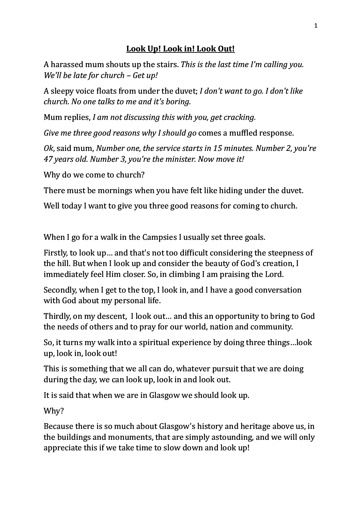## Look Up! Look in! Look Out!

A harassed mum shouts up the stairs. *This is the last time I'm calling you. We'll be late for church – Get up!* 

A sleepy voice floats from under the duvet; *I don't want to go. I don't like church.* No one talks to me and it's boring.

Mum replies, *I am not discussing this with you, get cracking.* 

*Give me three good reasons why I should go comes a muffled response.* 

*Ok*, said mum, *Number one, the service starts in 15 minutes. Number 2, you're 47 years old. Number 3, you're the minister. Now move it!*

Why do we come to church?

There must be mornings when you have felt like hiding under the duvet.

Well today I want to give you three good reasons for coming to church.

When I go for a walk in the Campsies I usually set three goals.

Firstly, to look up... and that's not too difficult considering the steepness of the hill. But when I look up and consider the beauty of God's creation, I immediately feel Him closer. So, in climbing I am praising the Lord.

Secondly, when I get to the top, I look in, and I have a good conversation with God about my personal life.

Thirdly, on my descent, I look out... and this an opportunity to bring to God the needs of others and to pray for our world, nation and community.

So, it turns my walk into a spiritual experience by doing three things...look up, look in, look out!

This is something that we all can do, whatever pursuit that we are doing during the day, we can look up, look in and look out.

It is said that when we are in Glasgow we should look up.

Why? 

Because there is so much about Glasgow's history and heritage above us, in the buildings and monuments, that are simply astounding, and we will only appreciate this if we take time to slow down and look up!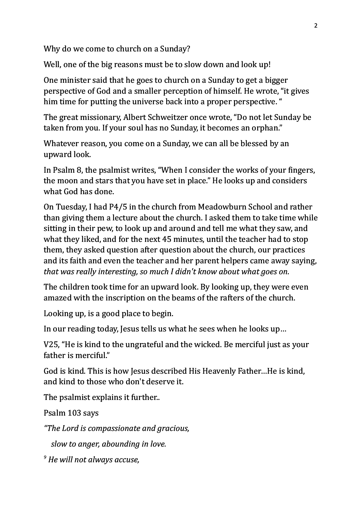Why do we come to church on a Sunday?

Well, one of the big reasons must be to slow down and look up!

One minister said that he goes to church on a Sunday to get a bigger perspective of God and a smaller perception of himself. He wrote, "it gives him time for putting the universe back into a proper perspective. "

The great missionary, Albert Schweitzer once wrote, "Do not let Sunday be taken from you. If your soul has no Sunday, it becomes an orphan."

Whatever reason, you come on a Sunday, we can all be blessed by an upward look.

In Psalm 8, the psalmist writes, "When I consider the works of your fingers, the moon and stars that you have set in place." He looks up and considers what God has done.

On Tuesday, I had P4/5 in the church from Meadowburn School and rather than giving them a lecture about the church. I asked them to take time while sitting in their pew, to look up and around and tell me what they saw, and what they liked, and for the next 45 minutes, until the teacher had to stop them, they asked question after question about the church, our practices and its faith and even the teacher and her parent helpers came away saying, *that* was really interesting, so much I didn't know about what goes on.

The children took time for an upward look. By looking up, they were even amazed with the inscription on the beams of the rafters of the church.

Looking up, is a good place to begin.

In our reading today, Jesus tells us what he sees when he looks up...

V25, "He is kind to the ungrateful and the wicked. Be merciful just as your father is merciful."

God is kind. This is how Jesus described His Heavenly Father...He is kind, and kind to those who don't deserve it.

The psalmist explains it further...

Psalm 103 says

*"The Lord is compassionate and gracious,*

*slow to anger, abounding in love.* 

*9 He will not always accuse,*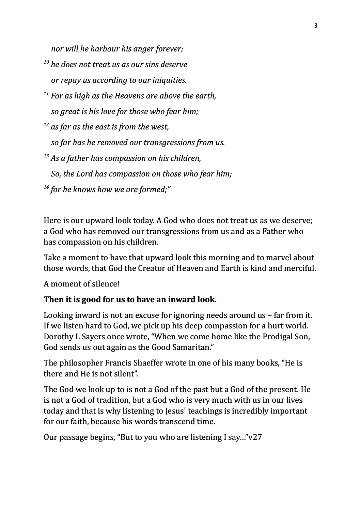*nor* will he harbour his anger forever;

- *<sup>10</sup> he does not treat us as our sins deserve <i>or repay us according to our iniquities.*
- <sup>11</sup> For as high as the Heavens are above the earth, *so great is his love for those who fear him;*
- <sup>12</sup> as far as the east is from the west,

*so far has he removed our transgressions from us.* 

- <sup>13</sup> As a father has compassion on his children,
	- So, the Lord has compassion on those who fear him;
- <sup>14</sup> for he knows how we are formed:"

Here is our upward look today. A God who does not treat us as we deserve; a God who has removed our transgressions from us and as a Father who has compassion on his children.

Take a moment to have that upward look this morning and to marvel about those words, that God the Creator of Heaven and Earth is kind and merciful.

A moment of silence!

## Then it is good for us to have an inward look.

Looking inward is not an excuse for ignoring needs around  $us$  – far from it. If we listen hard to God, we pick up his deep compassion for a hurt world. Dorothy L Sayers once wrote, "When we come home like the Prodigal Son, God sends us out again as the Good Samaritan."

The philosopher Francis Shaeffer wrote in one of his many books, "He is there and He is not silent".

The God we look up to is not a God of the past but a God of the present. He is not a God of tradition, but a God who is very much with us in our lives today and that is why listening to Jesus' teachings is incredibly important for our faith, because his words transcend time.

Our passage begins, "But to you who are listening I say..." $v27$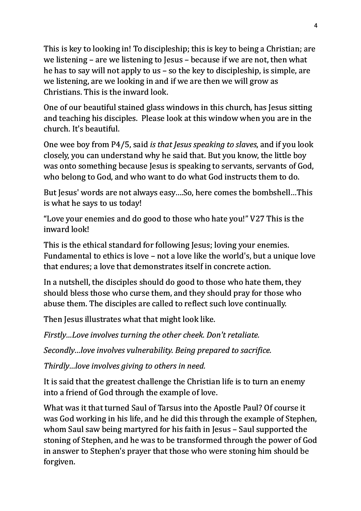This is key to looking in! To discipleship; this is key to being a Christian; are we listening  $-$  are we listening to Jesus  $-$  because if we are not, then what he has to say will not apply to us – so the key to discipleship, is simple, are we listening, are we looking in and if we are then we will grow as Christians. This is the inward look.

One of our beautiful stained glass windows in this church, has Jesus sitting and teaching his disciples. Please look at this window when you are in the church. It's beautiful.

One wee boy from P4/5, said *is that Jesus speaking to slaves*, and if you look closely, you can understand why he said that. But you know, the little boy was onto something because Jesus is speaking to servants, servants of God, who belong to God, and who want to do what God instructs them to do.

But Jesus' words are not always easy....So, here comes the bombshell...This is what he says to us today!

"Love your enemies and do good to those who hate you!"  $V27$  This is the inward look!

This is the ethical standard for following Jesus; loving your enemies. Fundamental to ethics is love – not a love like the world's, but a unique love that endures; a love that demonstrates itself in concrete action.

In a nutshell, the disciples should do good to those who hate them, they should bless those who curse them, and they should pray for those who abuse them. The disciples are called to reflect such love continually.

Then Jesus illustrates what that might look like.

*Firstly...Love involves turning the other cheek. Don't retaliate.* 

*Secondly...love involves vulnerability. Being prepared to sacrifice.* 

*Thirdly...love involves giving to others in need.* 

It is said that the greatest challenge the Christian life is to turn an enemy into a friend of God through the example of love.

What was it that turned Saul of Tarsus into the Apostle Paul? Of course it was God working in his life, and he did this through the example of Stephen, whom Saul saw being martyred for his faith in Jesus – Saul supported the stoning of Stephen, and he was to be transformed through the power of God in answer to Stephen's prayer that those who were stoning him should be forgiven.